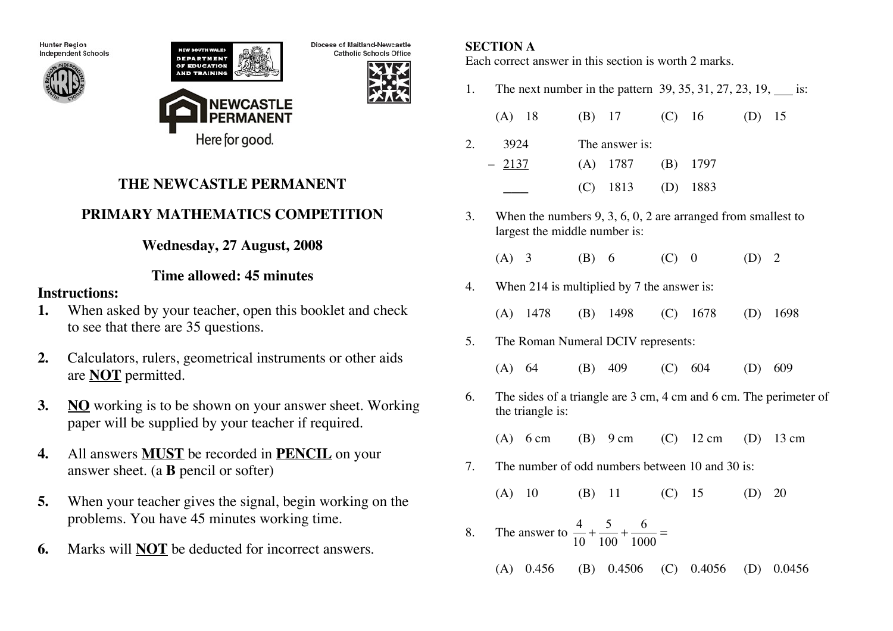**Hunter Region** Independent Schools





Diocese of Maitland-Newcastle **Catholic Schools Office** 



# **THE NEWCASTLE PERMANENT**

# **PRIMARY MATHEMATICS COMPETITION**

# **Wednesday, 27 August, 2008**

## **Time allowed: 45 minutes**

### **Instructions:**

- **1.** When asked by your teacher, open this booklet and check to see that there are 35 questions.
- **2.** Calculators, rulers, geometrical instruments or other aids are **NOT** permitted.
- **3. NO** working is to be shown on your answer sheet. Working paper will be supplied by your teacher if required.
- **4.** All answers **MUST** be recorded in **PENCIL** on your answer sheet. (a **B** pencil or softer)
- **5.** When your teacher gives the signal, begin working on the problems. You have 45 minutes working time.
- **6.** Marks will **NOT** be deducted for incorrect answers.

## **SECTION A**

Each correct answer in this section is worth 2 marks.

1. The next number in the pattern 39, 35, 31, 27, 23, 19, is:

| $(A)$ 18 | (B) 17 (C) 16 (D) 15  |  |  |
|----------|-----------------------|--|--|
| 3924     | The answer is:        |  |  |
| $-2137$  | $(A)$ 1787 $(B)$ 1797 |  |  |
|          | $(C)$ 1813 $(D)$ 1883 |  |  |

- 3. When the numbers 9, 3, 6, 0, 2 are arranged from smallest to largest the middle number is:
	- (A) 3 (B) 6 (C) 0 (D) 2
- 4. When 214 is multiplied by 7 the answer is:
	- (A) 1478 (B) 1498 (C) 1678 (D) 1698
- 5. The Roman Numeral DCIV represents:
	- (A) 64 (B) 409 (C) 604 (D) 609
- 6. The sides of a triangle are 3 cm, 4 cm and 6 cm. The perimeter of the triangle is:

(A) 6 cm (B) 9 cm (C) 12 cm (D) 13 cm

- 7. The number of odd numbers between 10 and 30 is:
	- (A) 10 (B) 11 (C) 15 (D) 20
- 8. The answer to  $\frac{4}{16}$ 10 + 5 100 + 6  $\frac{6}{1000}$  =
	- (A) 0.456 (B) 0.4506 (C) 0.4056 (D) 0.0456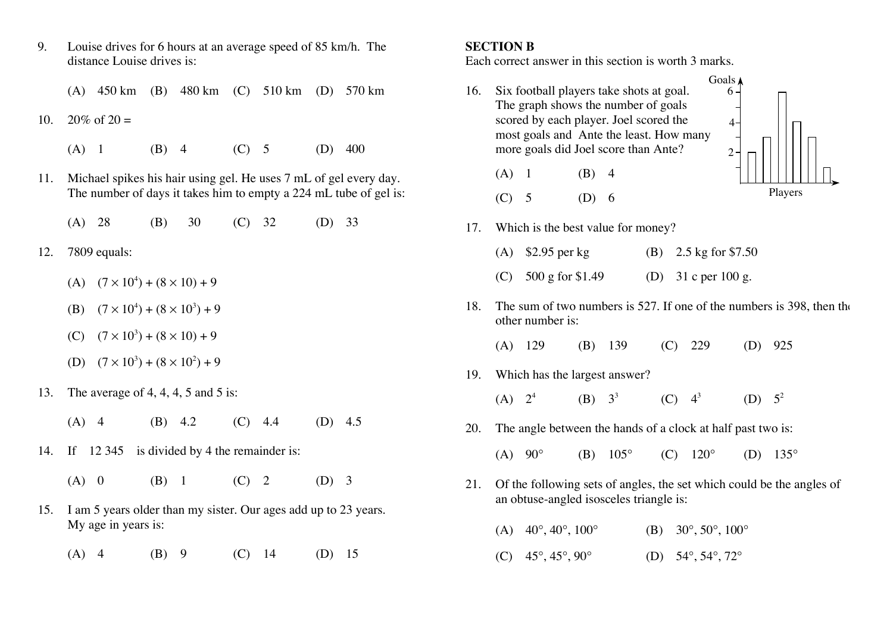9. Louise drives for 6 hours at an average speed of 85 km/h. The distance Louise drives is:

(A) 450 km (B) 480 km (C) 510 km (D) 570 km

- 10.  $20\%$  of  $20 =$ 
	- (A) 1 (B) 4 (C) 5 (D) 400
- 11. Michael spikes his hair using gel. He uses 7 mL of gel every day. The number of days it takes him to empty a 224 mL tube of gel is:
	- (A) 28 (B) 30 (C) 32 (D) 33
- 12. 7809 equals:
	- (A)  $(7 \times 10^4) + (8 \times 10) + 9$
	- (B)  $(7 \times 10^4) + (8 \times 10^3) + 9$
	- $(C)$   $(7 \times 10^3) + (8 \times 10) + 9$
	- (D)  $(7 \times 10^3) + (8 \times 10^2) + 9$
- 13. The average of 4, 4, 4, 5 and 5 is:
	- (A) 4 (B) 4.2 (C) 4.4 (D) 4.5
- 14. If 12 345 is divided by 4 the remainder is:
	- (A) 0 (B) 1 (C) 2 (D) 3
- 15. I am 5 years older than my sister. Our ages add up to 23 years. My age in years is:
	- (A) 4 (B) 9 (C) 14 (D) 15

#### **SECTION B**

Each correct answer in this section is worth 3 marks.

- 16. Six football players take shots at goal. The graph shows the number of goals scored by each player. Joel scored the most goals and Ante the least. How many more goals did Joel score than Ante?  $2 4-$ 6
	- $(A)$  1 (B) 4
	- (C) 5 (D) 6



- 17. Which is the best value for money?
	- (A) \$2.95 per kg (B) 2.5 kg for \$7.50
	- (C)  $500 \text{ g}$  for \$1.49 (D) 31 c per 100 g.
- 18. The sum of two numbers is 527. If one of the numbers is 398, then the other number is:

|  |  | $(A)$ 129 | $(B)$ 139 |  | $(C)$ 229 | (D) 925 |  |
|--|--|-----------|-----------|--|-----------|---------|--|
|--|--|-----------|-----------|--|-----------|---------|--|

- 19. Which has the largest answer?
	- (A)  $2^4$  (B)  $3^3$  (C)  $4^3$  (D)  $5^2$
- 20. The angle between the hands of a clock at half past two is:
	- (A) 90° (B) 105° (C) 120° (D) 135°
- 21. Of the following sets of angles, the set which could be the angles of an obtuse-angled isosceles triangle is:

(A)  $40^{\circ}, 40^{\circ}, 100^{\circ}$  (B)  $30^{\circ}, 50^{\circ}, 100^{\circ}$ 

(C)  $45^{\circ}, 45^{\circ}, 90^{\circ}$  (D)  $54^{\circ}, 54^{\circ}, 72^{\circ}$ 

- 
-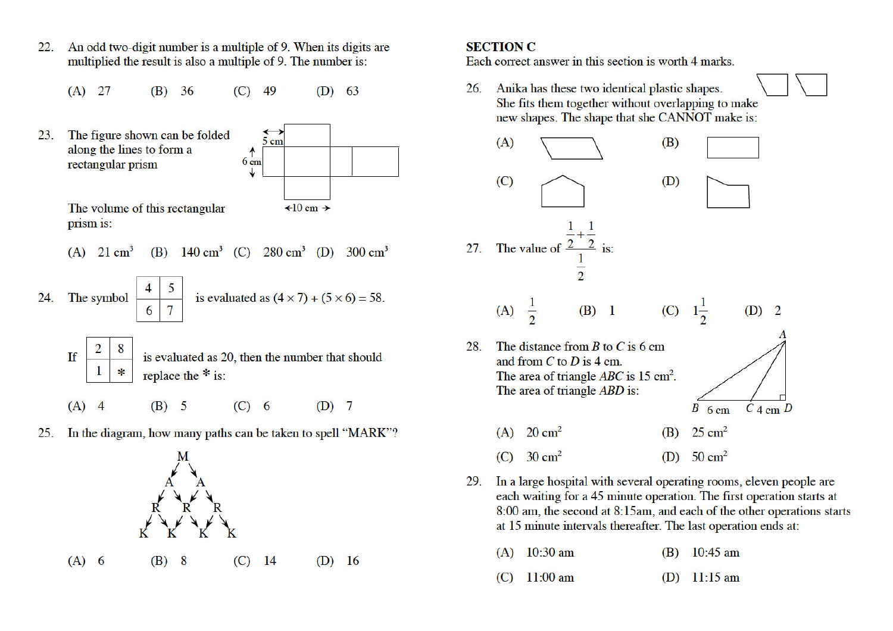An odd two-digit number is a multiple of 9. When its digits are  $22.$ multiplied the result is also a multiple of 9. The number is:

 $(A)$  27  $(B) 36$  $(C)$ 49  $(D)$  63

The figure shown can be folded 23. 5 cm along the lines to form a  $\uparrow$ rectangular prism  $6<sub>cm</sub>$ 

The volume of this rectangular prism is:

٦

(A) 
$$
21 \text{ cm}^3
$$
 (B)  $140 \text{ cm}^3$  (C)  $280 \text{ cm}^3$  (D)  $300 \text{ cm}^3$ 

 $\div 10 \text{ cm } \rightarrow$ 

24. The symbol 
$$
\begin{array}{|c|c|c|} \hline 4 & 5 \\ \hline 6 & 7 \end{array}
$$
 is evaluated as  $(4 \times 7) + (5 \times 6) = 58$ .

If 
$$
\begin{array}{|c|c|} \hline 2 & 8 \\ \hline 1 & * \\ \hline \end{array}
$$
 is evaluated as 20, then the number that should replace the  $*$  is:

 $(B)$  5  $(C)$  6  $(D)$  7  $(A)$  4

In the diagram, how many paths can be taken to spell "MARK"? 25.



 $(A)$  6 (B) 8  $(C)$ 14  $(D)$  16

### **SECTION C**

Each correct answer in this section is worth 4 marks.

26. Anika has these two identical plastic shapes. She fits them together without overlapping to make new shapes. The shape that she CANNOT make is:



29. In a large hospital with several operating rooms, eleven people are each waiting for a 45 minute operation. The first operation starts at 8:00 am, the second at 8:15am, and each of the other operations starts at 15 minute intervals thereafter. The last operation ends at:

| $(A)$ 10:30 am         | (B) $10:45 \text{ am}$ |
|------------------------|------------------------|
| (C) $11:00 \text{ am}$ | (D) $11:15 \text{ am}$ |